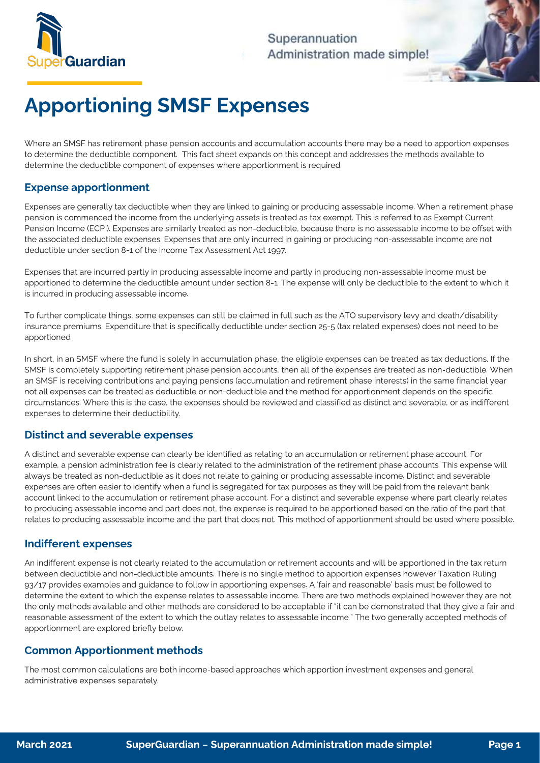

## Superannuation Administration made simple!

# Apportioning SMSF Expenses

Where an SMSF has retirement phase pension accounts and accumulation accounts there may be a need to apportion expenses<br>to determine the deductible component. This fact sheet expands on this concept and addresses the metho determine the deductible component of expenses where apportionment is required. determine the deductible component of expenses where apportionment is required.

### Expense apportionment

Expenses are generally tax deductible when they are linked to gaining or producing assessable income. When a retirement phase<br>pension is commenced the income from the underlying assets is treated as tax exempt. This is ref Pension Income (ECPI). Expenses are similarly treated as non-deductible, because there is no assessable income to be offset with the associated deductible expenses. Expenses that are only incurred in gaining or producing non-assessable income are not the associated deductible expenses that are only incurred incurred in gaining or producing non-assessment  $\lambda$  of the income  $\tau_{\rm NN}$  are not  $\lambda$  at 1007 deductible under section 8-1 of the Income Tax Assessment Act 1997.

Expenses that are incurred partly in producing assessable income and partly in producing non-assessable income must be<br>apportioned to determine the deductible amount under section 8-1. The expense will only be deductible t approximation eduction approximation amount under section 8-1. The extent to the extent to the extent to which it is incurred in producing assessable income.

 $T_{\rm eff}$  further complication to further complication that is concisionally deductible under section 35, 5 (toy related expenses) does not need to be insurance premiums. Expenditure that is specifically deductible under section 25-5 (tax related expenses) does not need to be apportioned.

In short, in an SMSF where the fund is solely in accumulation phase, the eligible expenses can be treated as tax deductions. If the<br>SMSF is completely supporting retirement phase pension accounts, then all of the expenses an SMSF is receiving contributions and paying pensions (accumulation and retirement phase interests) in the same financial year not all expenses can be treated as deductible or non-deductible and the method for apportionment depends on the specific circumstances. Where this is the case, the expenses should be reviewed and classified as distinct and severable, or as indifferent cypances to determine their deductibility, expenses to determine their deductibility.

#### Distinct and severable expenses

A distinct and severable expense can clearly be identified as relating to an accumulation or retirement phase account. For<br>example, a pension administration fee is clearly related to the administration of the retirement ph always be treated as non-deductible as it does not relate to gaining or producing assessable income. Distinct and severable expenses are often easier to identify when a fund is segregated for tax purposes as they will be paid from the relevant bank account linked to the accumulation or retirement phase account. For a distinct and severable expense where part clearly relates to producing assessable income and part does not, the expense is required to be apportioned based on the ratio of the part that  $t_{\rm c}$  producing assessme and part does not, the expense is required to be approximated to be approximated to be approximated to be approximated to be approximated to be approximated to be approximated based on the part relates to producing assessable income and the part that does not. This method of apportionment should be used where possible.

#### Indifferent expenses

An indifferent expense is not clearly related to the accumulation or retirement accounts and will be apportioned in the tax return<br>between deductible and non-deductible amounts. There is no single method to apportion expen 93/17 provides examples and quidance to follow in apportioning expenses. A 'fair and reasonable' basis must be followed to determine the extent to which the expense relates to assessable income. There are two methods explained however they are not the only methods available and other methods are considered to be acceptable if "it can be demonstrated that they give a fair and reasonable assessment of the extent to which the outlay relates to assessable income." The two generally accepted methods of reasonable assessment of the extent to which the outlast to assessment to assessment to which the two generally accepted methods of  $\alpha$ apportionment are explored briefly below.

### Common Apportionment methods

The most common calculations are both income-based approaches which apportion investment expenses and general administrative expenses separately.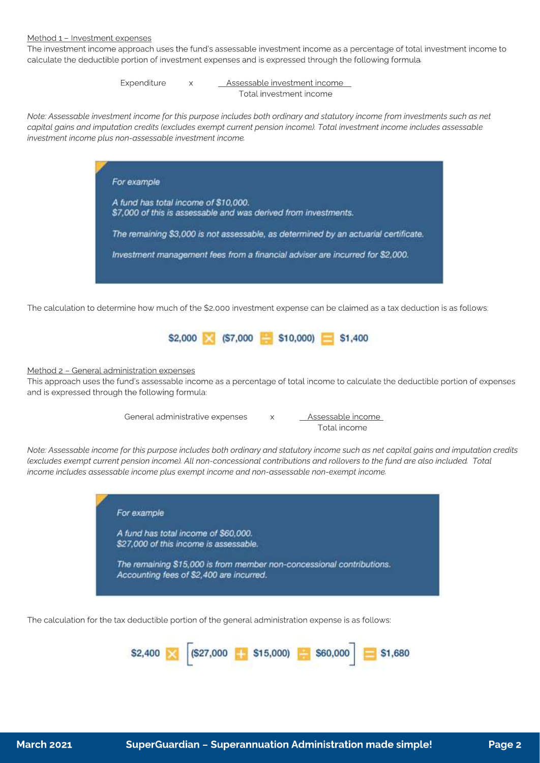#### Method 1 – Investment expenses

The investment income approach uses the fund's assessable investment income as a percentage of total investment income to calculate the deductible portion of investment expenses and is expressed through the following formula.

> Expenditure x Assessable investment income Total investment income

Note: Assessable investment income for this purpose includes both ordinary and statutory income from investments such as net capital gains and imputation credits (excludes exempt current pension income). Total investment income includes assessable investment income plus non-assessable investment income.



The calculation to determine how much of the \$2,000 investment expense can be claimed as a tax deduction is as follows:



#### Method 2 – General administration expenses

This approach uses the fund's assessable income as a percentage of total income to calculate the deductible portion of expenses and is expressed through the following formula:

> General administrative expenses x Assessable income Total income

Note: Assessable income for this purpose includes both ordinary and statutory income such as net capital gains and imputation credits (excludes exempt current pension income). All non-concessional contributions and rollovers to the fund are also included. Total income includes assessable income plus exempt income and non-assessable non-exempt income.



The calculation for the tax deductible portion of the general administration expense is as follows: